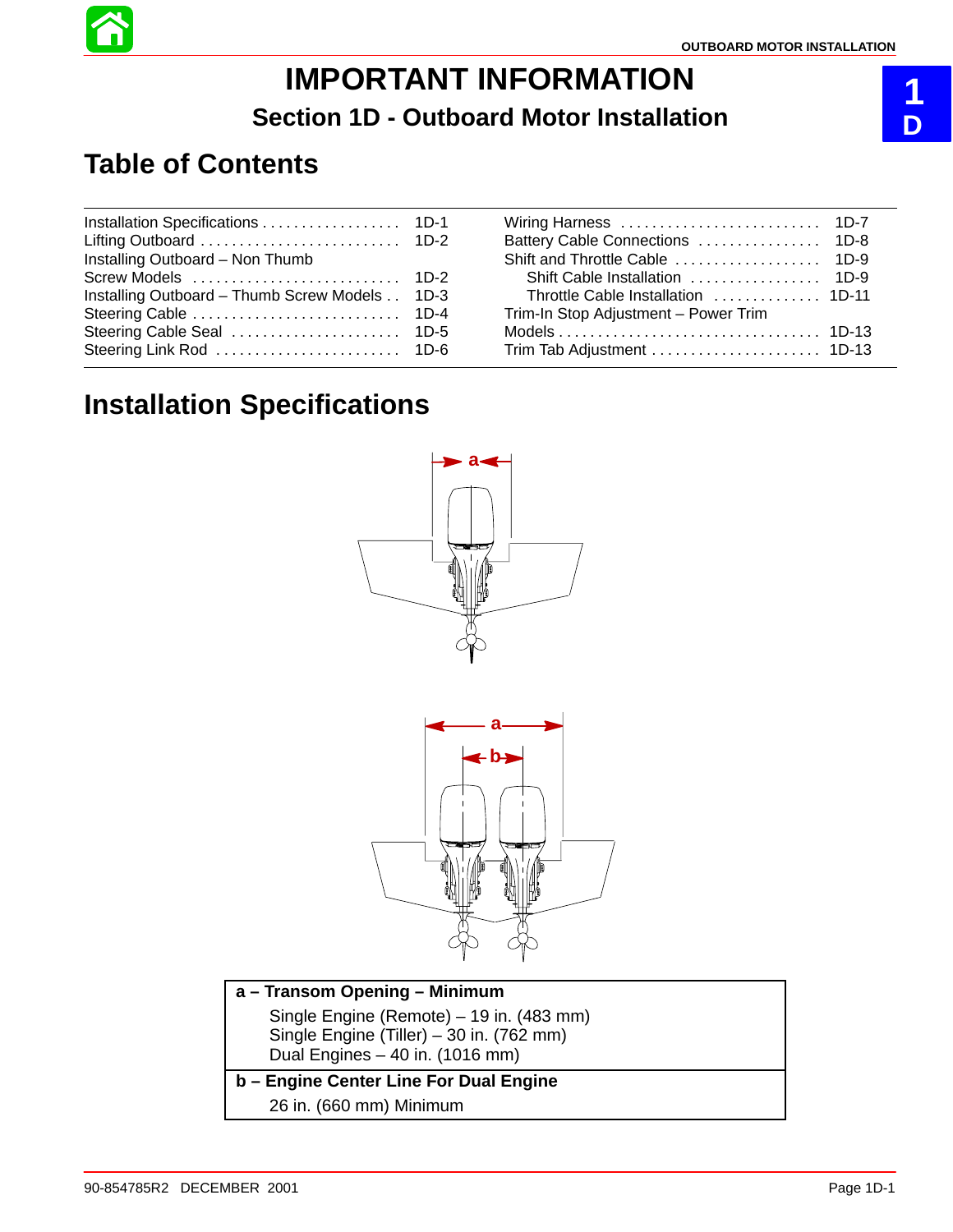

# **IMPORTANT INFORMATION Section 1D - Outboard Motor Installation**

# **Table of Contents**

| Installing Outboard - Non Thumb          |        |
|------------------------------------------|--------|
| Screw Models                             | $1D-2$ |
| Installing Outboard - Thumb Screw Models | $1D-3$ |
| Steering Cable                           | $1D-4$ |
| Steering Cable Seal                      | $1D-5$ |
|                                          |        |
|                                          |        |

| Throttle Cable Installation  1D-11 |
|------------------------------------|
|                                    |
|                                    |
|                                    |
|                                    |

## **Installation Specifications**



| a - Transom Opening - Minimum                                                                                           |  |
|-------------------------------------------------------------------------------------------------------------------------|--|
| Single Engine (Remote) – 19 in. (483 mm)<br>Single Engine (Tiller) - 30 in. (762 mm)<br>Dual Engines - 40 in. (1016 mm) |  |
| b – Engine Center Line For Dual Engine                                                                                  |  |
| 26 in. (660 mm) Minimum                                                                                                 |  |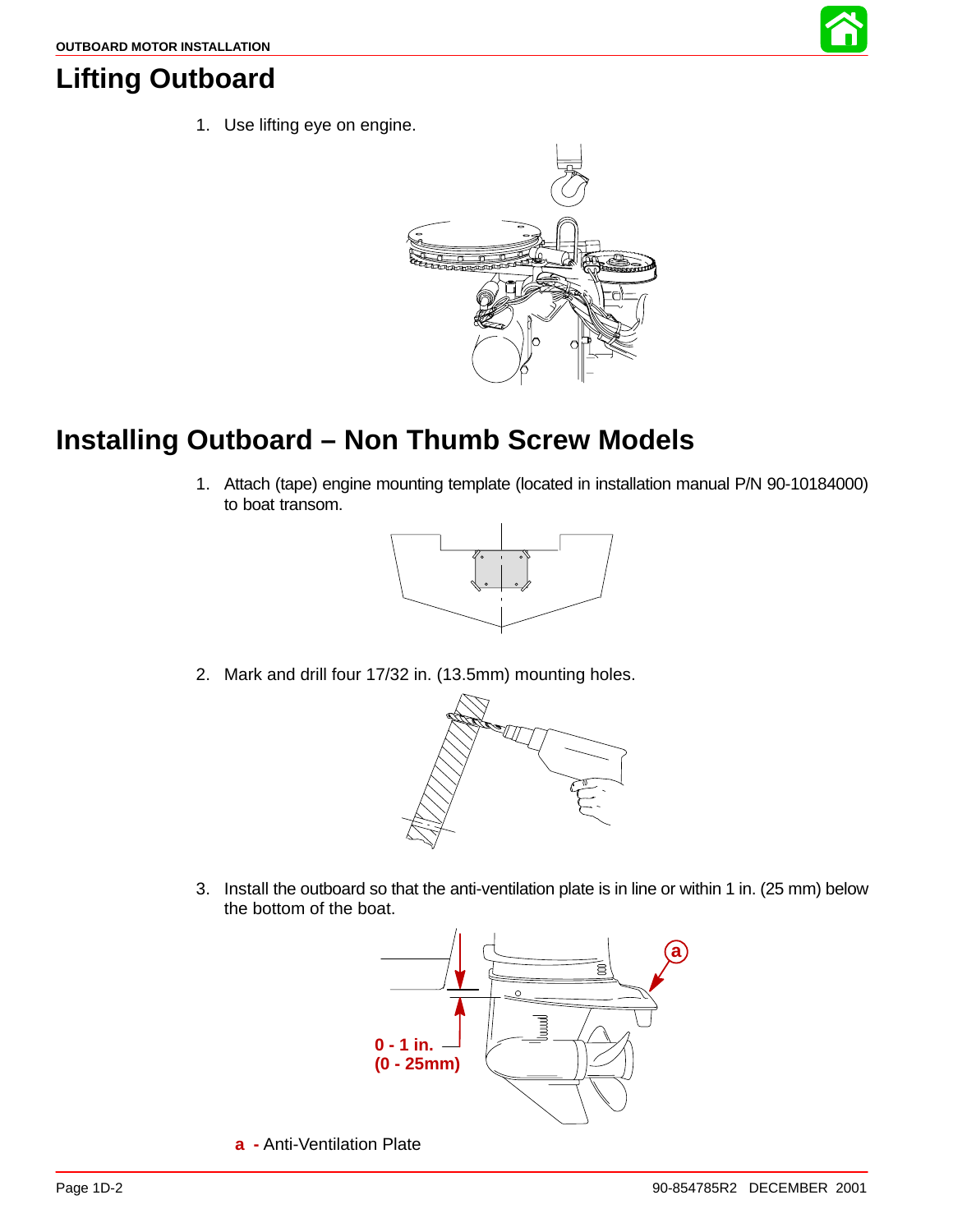

### **Lifting Outboard**

1. Use lifting eye on engine.



# **Installing Outboard – Non Thumb Screw Models**

1. Attach (tape) engine mounting template (located in installation manual P/N 90-10184000) to boat transom.



2. Mark and drill four 17/32 in. (13.5mm) mounting holes.



3. Install the outboard so that the anti-ventilation plate is in line or within 1 in. (25 mm) below the bottom of the boat.



**a -** Anti-Ventilation Plate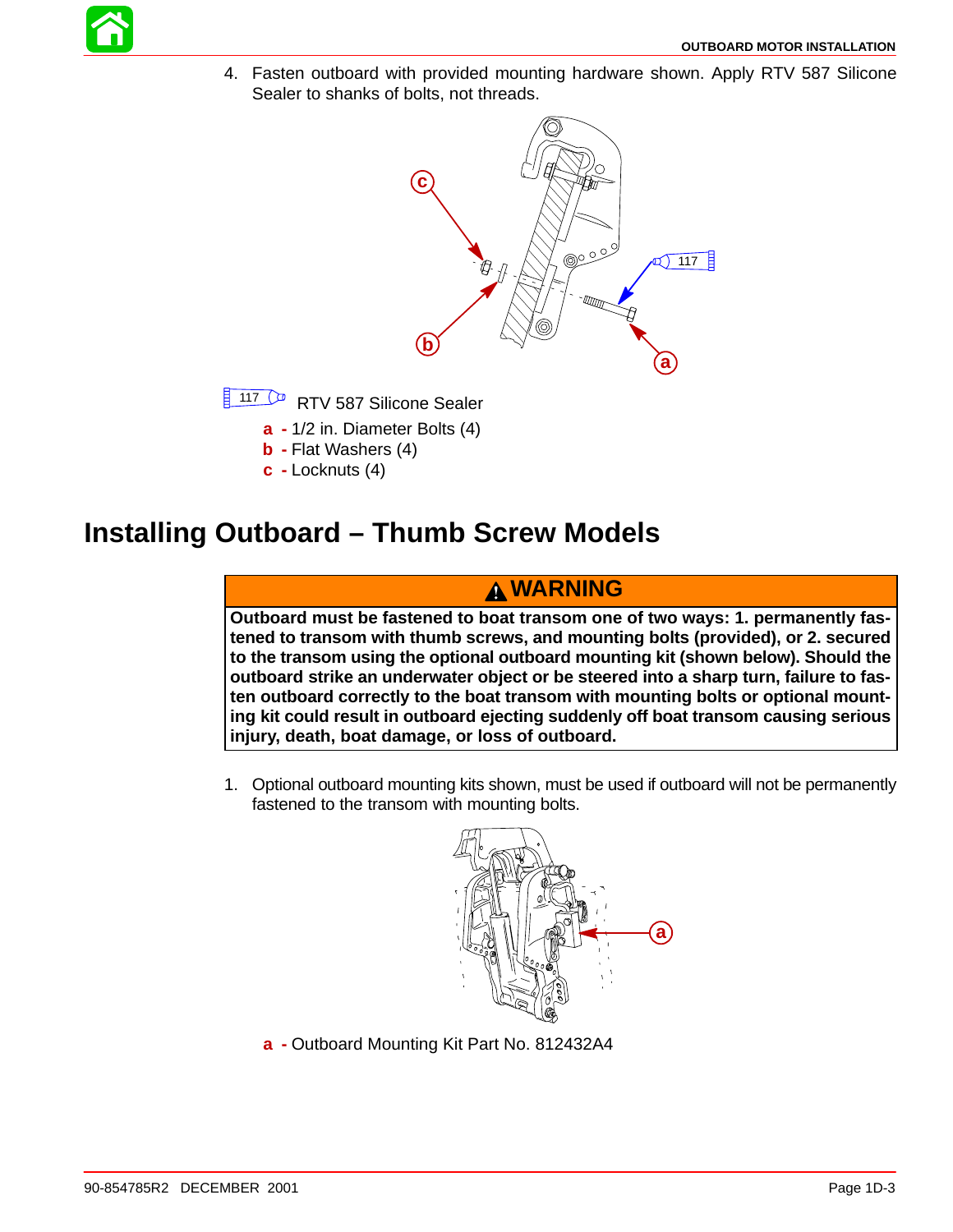

4. Fasten outboard with provided mounting hardware shown. Apply RTV 587 Silicone Sealer to shanks of bolts, not threads.



- **b -** Flat Washers (4)
- **c -** Locknuts (4)
- **Installing Outboard Thumb Screw Models**

### **WARNING**

**Outboard must be fastened to boat transom one of two ways: 1. permanently fastened to transom with thumb screws, and mounting bolts (provided), or 2. secured to the transom using the optional outboard mounting kit (shown below). Should the outboard strike an underwater object or be steered into a sharp turn, failure to fasten outboard correctly to the boat transom with mounting bolts or optional mounting kit could result in outboard ejecting suddenly off boat transom causing serious injury, death, boat damage, or loss of outboard.**

1. Optional outboard mounting kits shown, must be used if outboard will not be permanently fastened to the transom with mounting bolts.



**a -** Outboard Mounting Kit Part No. 812432A4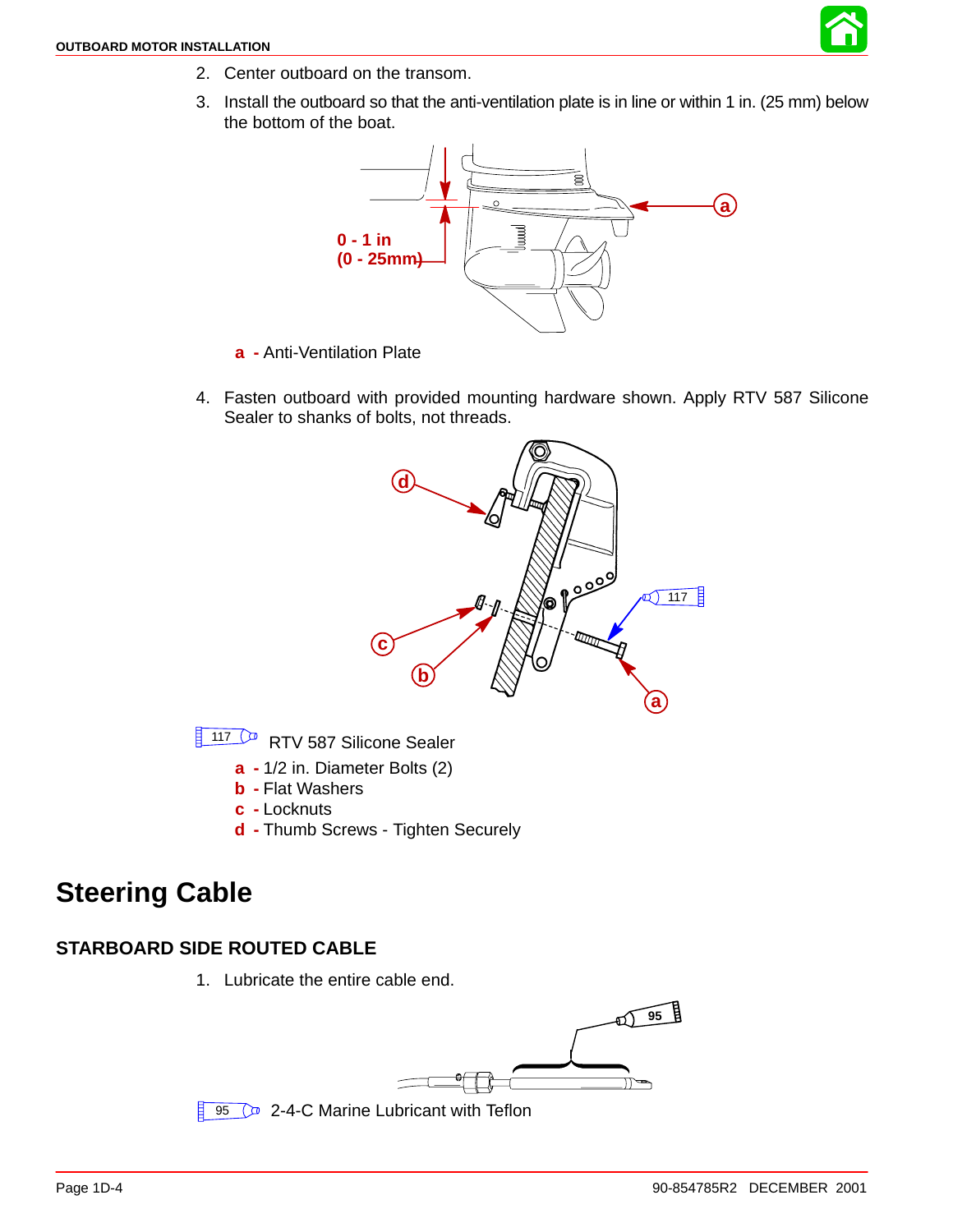

- <span id="page-3-0"></span>2. Center outboard on the transom.
- 3. Install the outboard so that the anti-ventilation plate is in line or within 1 in. (25 mm) below the bottom of the boat.



- **a -** Anti-Ventilation Plate
- 4. Fasten outboard with provided mounting hardware shown. Apply RTV 587 Silicone Sealer to shanks of bolts, not threads.



117 <sup>(a)</sup> RTV 587 Silicone Sealer

- **a -** 1/2 in. Diameter Bolts (2)
- **b -** Flat Washers
- **c -** Locknuts
- **d -** Thumb Screws Tighten Securely

### **Steering Cable**

#### **STARBOARD SIDE ROUTED CABLE**

1. Lubricate the entire cable end.

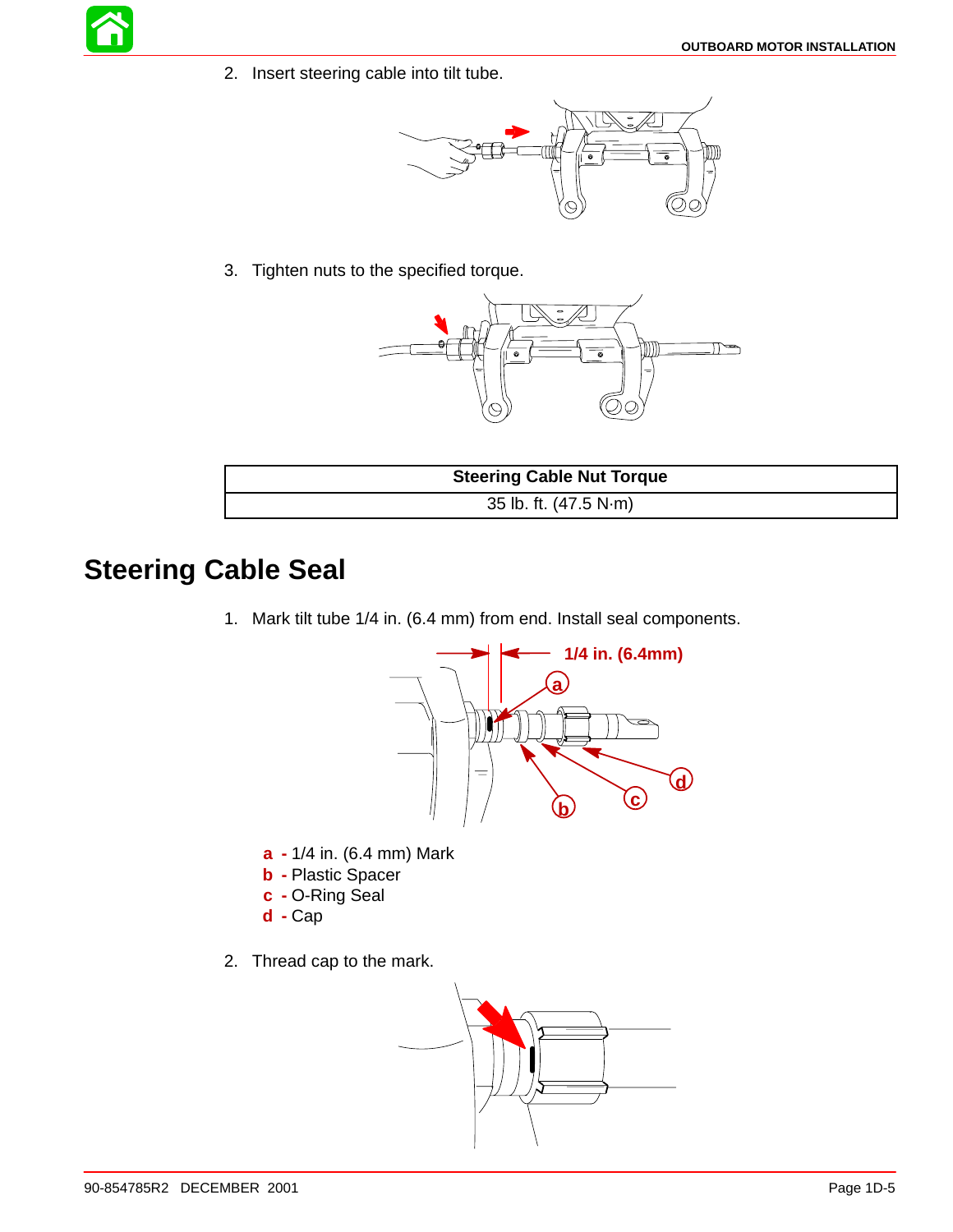2. Insert steering cable into tilt tube.



3. Tighten nuts to the specified torque.



| <b>Steering Cable Nut Torque</b> |
|----------------------------------|
| 35 lb. ft. (47.5 N·m)            |

## **Steering Cable Seal**

1. Mark tilt tube 1/4 in. (6.4 mm) from end. Install seal components.



- **a -** 1/4 in. (6.4 mm) Mark
- **b -** Plastic Spacer
- **c -** O-Ring Seal
- **d -** Cap
- 2. Thread cap to the mark.

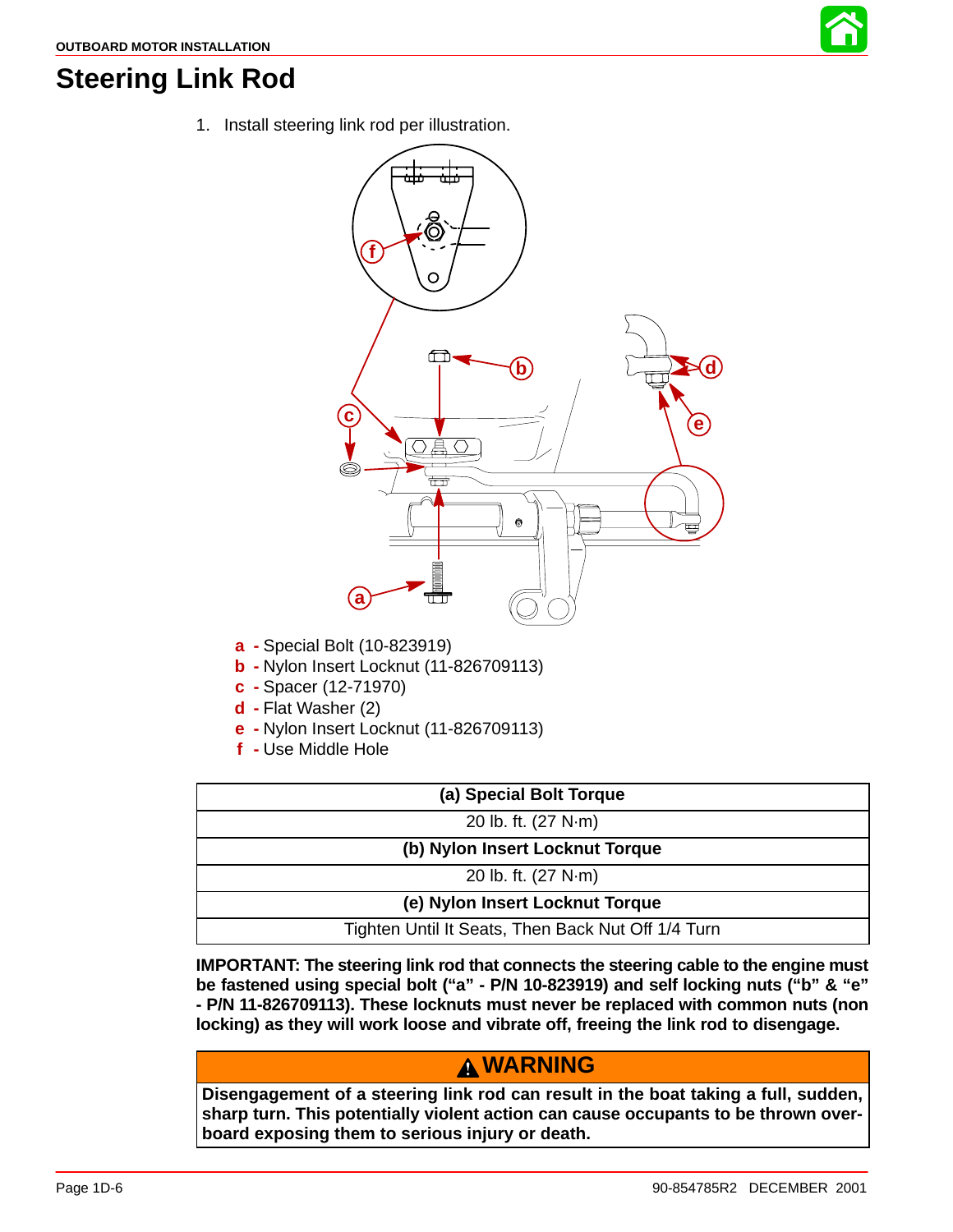

### **Steering Link Rod**

1. Install steering link rod per illustration.



- **a -** Special Bolt (10-823919)
- **b -** Nylon Insert Locknut (11-826709113)
- **c -** Spacer (12-71970)
- **d -** Flat Washer (2)
- **e -** Nylon Insert Locknut (11-826709113)
- **f -** Use Middle Hole

| (a) Special Bolt Torque                            |  |  |
|----------------------------------------------------|--|--|
| 20 lb. ft. (27 N·m)                                |  |  |
| (b) Nylon Insert Locknut Torque                    |  |  |
| 20 lb. ft. (27 N·m)                                |  |  |
| (e) Nylon Insert Locknut Torque                    |  |  |
| Tighten Until It Seats, Then Back Nut Off 1/4 Turn |  |  |

**IMPORTANT: The steering link rod that connects the steering cable to the engine must be fastened using special bolt ("a" - P/N 10-823919) and self locking nuts ("b" & "e" - P/N 11-826709113). These locknuts must never be replaced with common nuts (non locking) as they will work loose and vibrate off, freeing the link rod to disengage.**

### **WARNING**

**Disengagement of a steering link rod can result in the boat taking a full, sudden, sharp turn. This potentially violent action can cause occupants to be thrown overboard exposing them to serious injury or death.**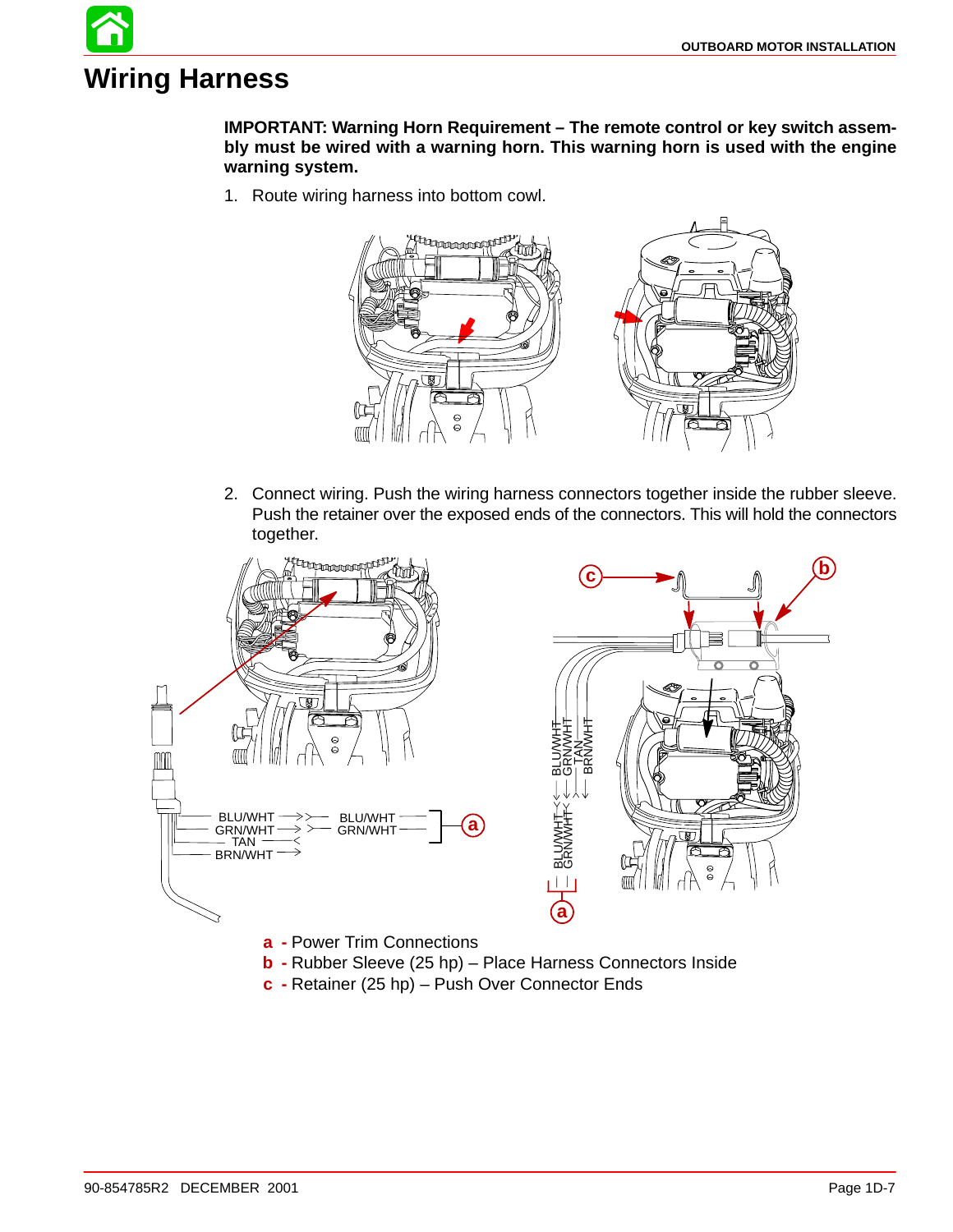# **Wiring Harness**

**IMPORTANT: Warning Horn Requirement – The remote control or key switch assembly must be wired with a warning horn. This warning horn is used with the engine warning system.**

1. Route wiring harness into bottom cowl.



2. Connect wiring. Push the wiring harness connectors together inside the rubber sleeve. Push the retainer over the exposed ends of the connectors. This will hold the connectors together.



**c -** Retainer (25 hp) – Push Over Connector Ends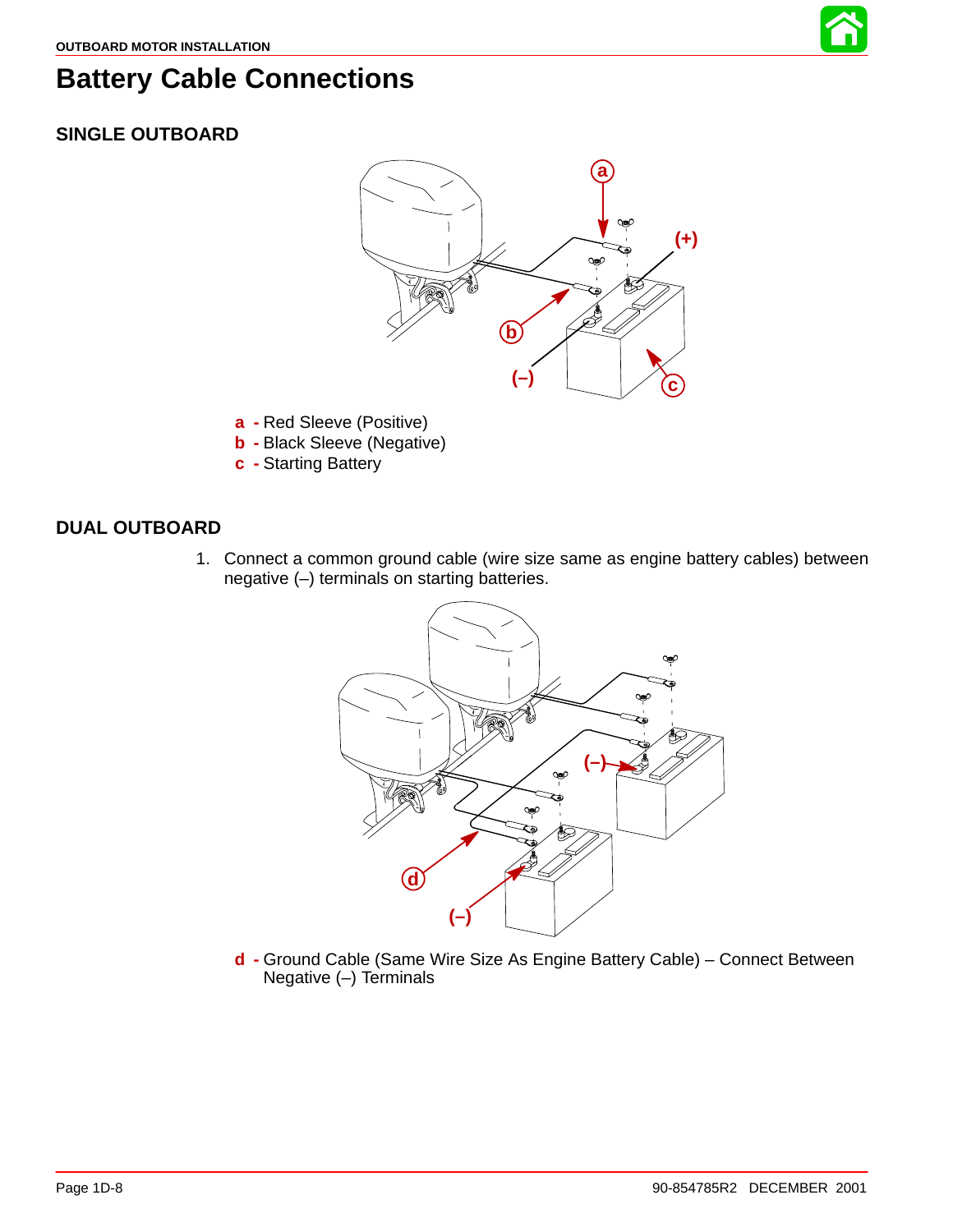

### **Battery Cable Connections**

### **SINGLE OUTBOARD**



- **a -** Red Sleeve (Positive)
- **b -** Black Sleeve (Negative)
- **c -** Starting Battery

#### **DUAL OUTBOARD**

1. Connect a common ground cable (wire size same as engine battery cables) between negative (–) terminals on starting batteries.



**d -** Ground Cable (Same Wire Size As Engine Battery Cable) – Connect Between Negative (–) Terminals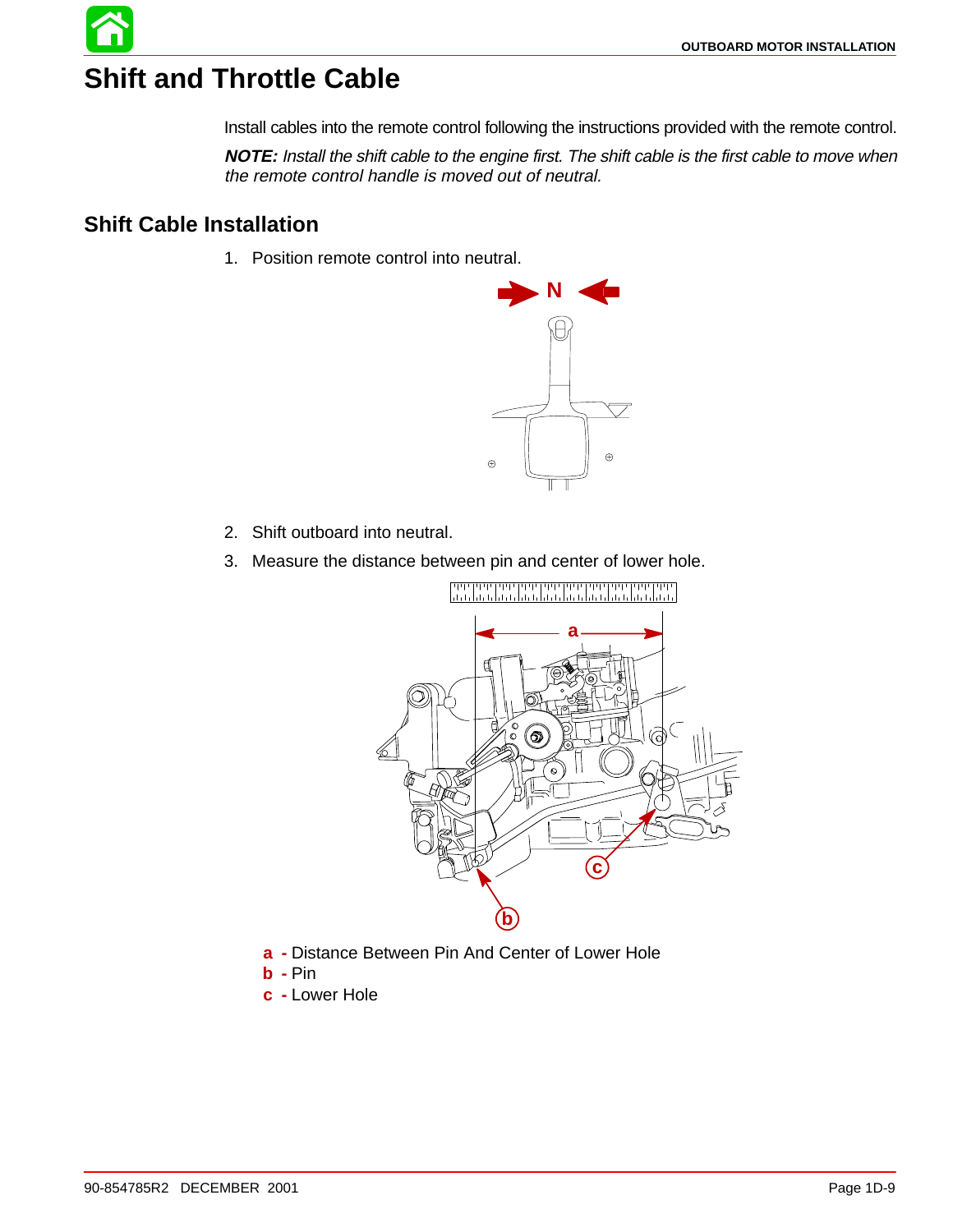# **Shift and Throttle Cable**

Install cables into the remote control following the instructions provided with the remote control.

**NOTE:** Install the shift cable to the engine first. The shift cable is the first cable to move when the remote control handle is moved out of neutral.

### **Shift Cable Installation**

1. Position remote control into neutral.



- 2. Shift outboard into neutral.
- 3. Measure the distance between pin and center of lower hole.



- **a -** Distance Between Pin And Center of Lower Hole
- **b -** Pin
- **c -** Lower Hole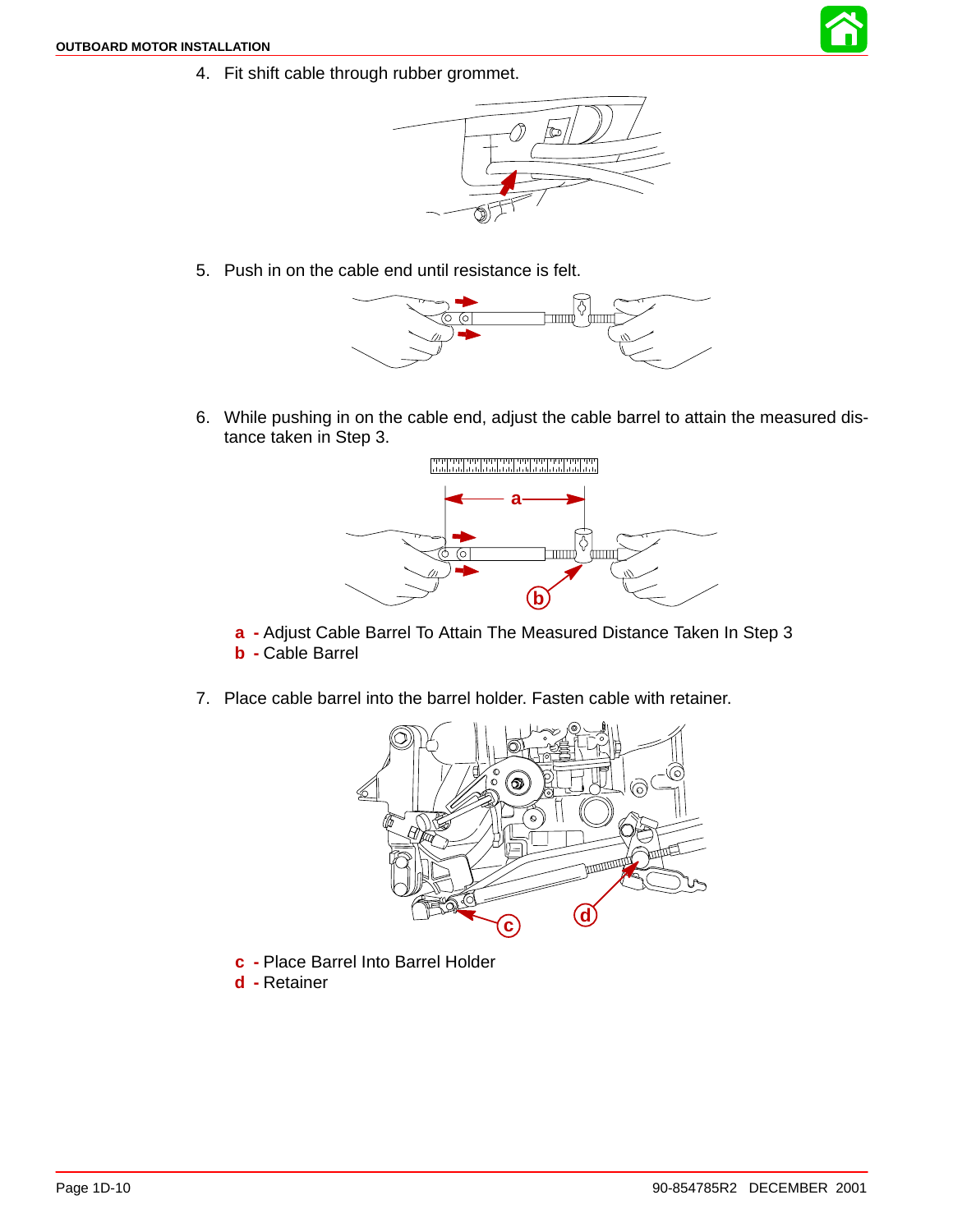

4. Fit shift cable through rubber grommet.



5. Push in on the cable end until resistance is felt.



6. While pushing in on the cable end, adjust the cable barrel to attain the measured distance taken in Step 3.



**a -** Adjust Cable Barrel To Attain The Measured Distance Taken In Step 3 **b -** Cable Barrel

7. Place cable barrel into the barrel holder. Fasten cable with retainer.



- **c -** Place Barrel Into Barrel Holder
- **d -** Retainer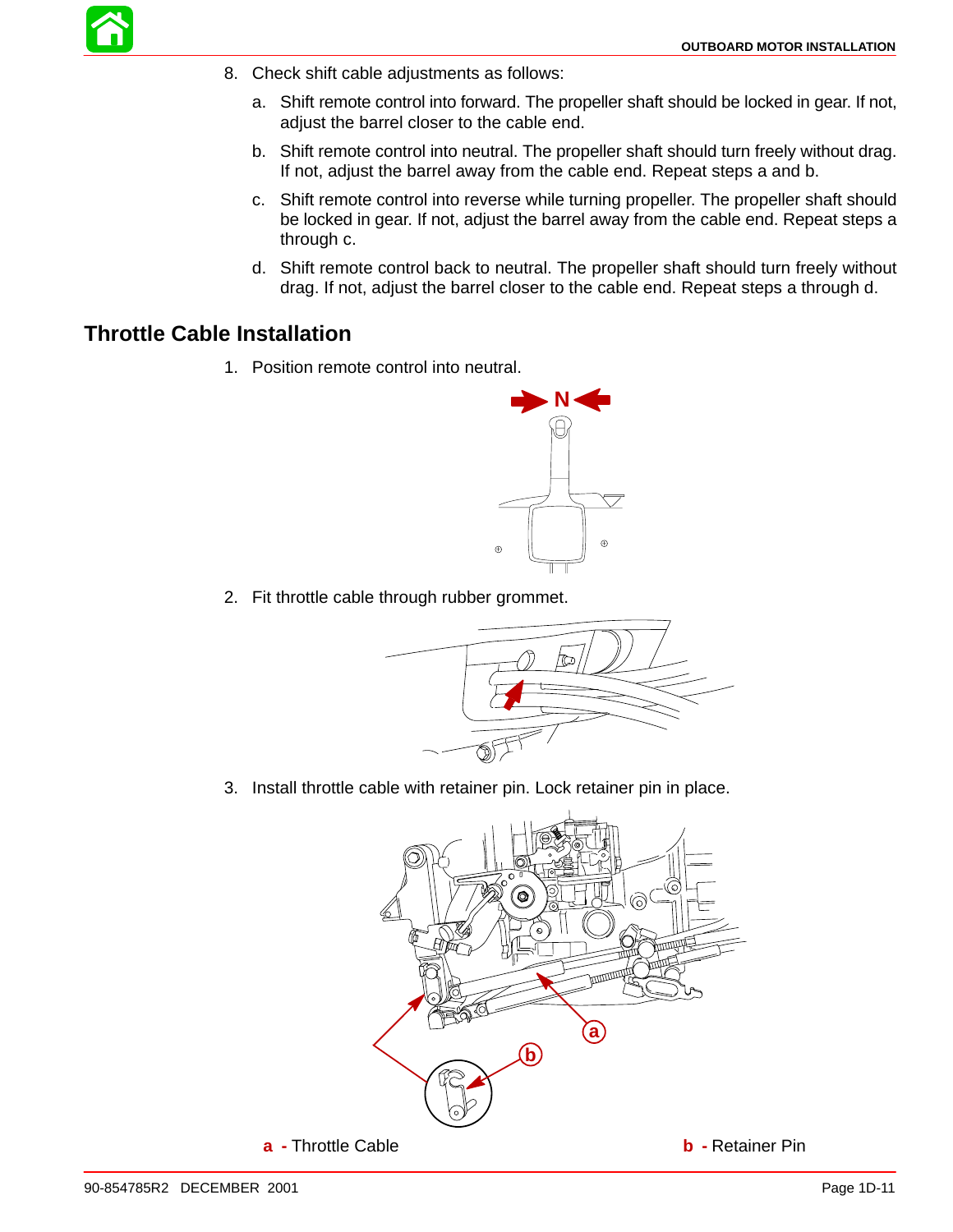- 8. Check shift cable adjustments as follows:
	- a. Shift remote control into forward. The propeller shaft should be locked in gear. If not, adjust the barrel closer to the cable end.
	- b. Shift remote control into neutral. The propeller shaft should turn freely without drag. If not, adjust the barrel away from the cable end. Repeat steps a and b.
	- c. Shift remote control into reverse while turning propeller. The propeller shaft should be locked in gear. If not, adjust the barrel away from the cable end. Repeat steps a through c.
	- d. Shift remote control back to neutral. The propeller shaft should turn freely without drag. If not, adjust the barrel closer to the cable end. Repeat steps a through d.

#### **Throttle Cable Installation**

1. Position remote control into neutral.



2. Fit throttle cable through rubber grommet.



3. Install throttle cable with retainer pin. Lock retainer pin in place.

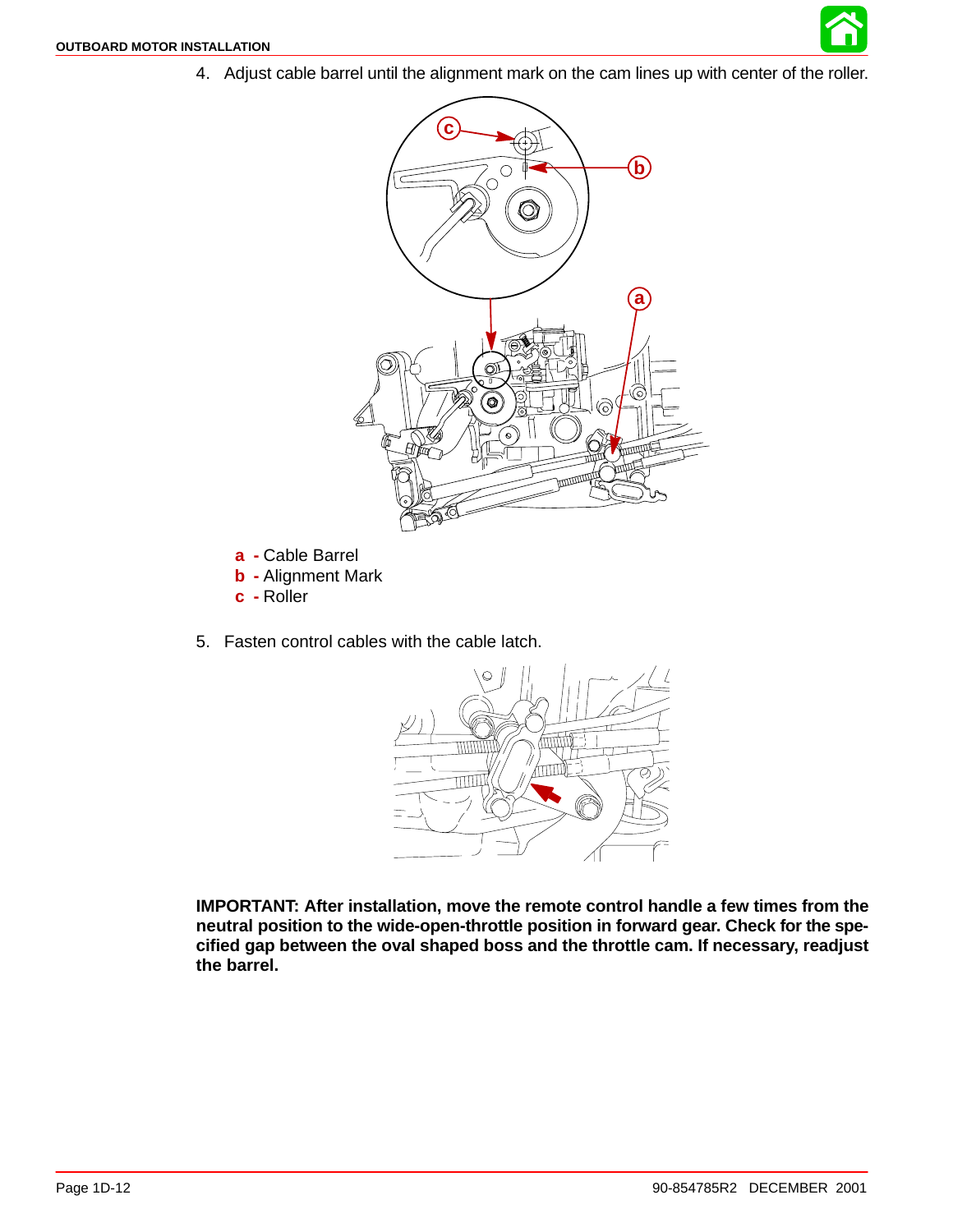

4. Adjust cable barrel until the alignment mark on the cam lines up with center of the roller.



- **a -** Cable Barrel
- **b -** Alignment Mark
- **c -** Roller
- 5. Fasten control cables with the cable latch.



**IMPORTANT: After installation, move the remote control handle a few times from the neutral position to the wide-open-throttle position in forward gear. Check for the specified gap between the oval shaped boss and the throttle cam. If necessary, readjust the barrel.**